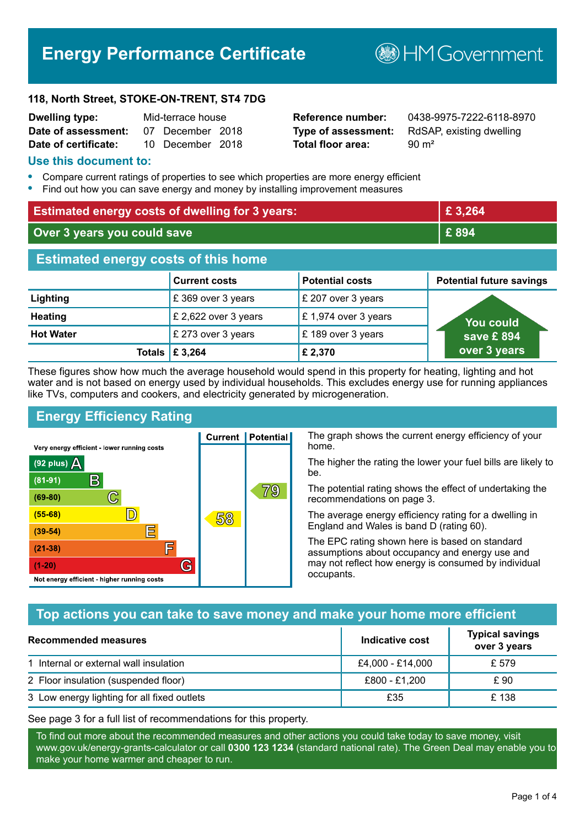# **Energy Performance Certificate**

**B**HM Government

#### **118, North Street, STOKE-ON-TRENT, ST4 7DG**

| <b>Dwelling type:</b> | Mid-terrace house |                  |  |
|-----------------------|-------------------|------------------|--|
| Date of assessment:   |                   | 07 December 2018 |  |
| Date of certificate:  |                   | 10 December 2018 |  |

# **Total floor area:** 90 m<sup>2</sup>

**Reference number:** 0438-9975-7222-6118-8970 **Type of assessment:** RdSAP, existing dwelling

#### **Use this document to:**

- **•** Compare current ratings of properties to see which properties are more energy efficient
- **•** Find out how you can save energy and money by installing improvement measures

| <b>Estimated energy costs of dwelling for 3 years:</b> |                                 | £3,264                 |                                 |
|--------------------------------------------------------|---------------------------------|------------------------|---------------------------------|
| Over 3 years you could save                            |                                 | £894                   |                                 |
| <b>Estimated energy costs of this home</b>             |                                 |                        |                                 |
|                                                        | <b>Current costs</b>            | <b>Potential costs</b> | <b>Potential future savings</b> |
| <b>Lighting</b>                                        | £369 over 3 years               | £ 207 over 3 years     |                                 |
| <b>Heating</b>                                         | £ 2,622 over 3 years            | £1,974 over 3 years    | You could                       |
| <b>Hot Water</b>                                       | £ 273 over 3 years              | £189 over 3 years      | save £ 894                      |
|                                                        | Totals $\mathbf \epsilon$ 3,264 | £ 2,370                | over 3 years                    |

These figures show how much the average household would spend in this property for heating, lighting and hot water and is not based on energy used by individual households. This excludes energy use for running appliances like TVs, computers and cookers, and electricity generated by microgeneration.

**Current | Potential** 

58

# **Energy Efficiency Rating**

 $\mathbb{C}$ 

 $\Box$ 

E

庐

G

Very energy efficient - lower running costs

 $\mathsf{R}% _{T}$ 

Not energy efficient - higher running costs

(92 plus)  $\Delta$ 

 $(81 - 91)$ 

 $(69 - 80)$ 

 $(55-68)$ 

 $(39 - 54)$ 

 $(21-38)$ 

 $(1-20)$ 

The graph shows the current energy efficiency of your home.

The higher the rating the lower your fuel bills are likely to be.

The potential rating shows the effect of undertaking the recommendations on page 3.

The average energy efficiency rating for a dwelling in England and Wales is band D (rating 60).

The EPC rating shown here is based on standard assumptions about occupancy and energy use and may not reflect how energy is consumed by individual occupants.

# **Top actions you can take to save money and make your home more efficient**

79

| Recommended measures                        | Indicative cost  | <b>Typical savings</b><br>over 3 years |
|---------------------------------------------|------------------|----------------------------------------|
| 1 Internal or external wall insulation      | £4,000 - £14,000 | £ 579                                  |
| 2 Floor insulation (suspended floor)        | £800 - £1,200    | £ 90                                   |
| 3 Low energy lighting for all fixed outlets | £35              | £138                                   |

See page 3 for a full list of recommendations for this property.

To find out more about the recommended measures and other actions you could take today to save money, visit www.gov.uk/energy-grants-calculator or call **0300 123 1234** (standard national rate). The Green Deal may enable you to make your home warmer and cheaper to run.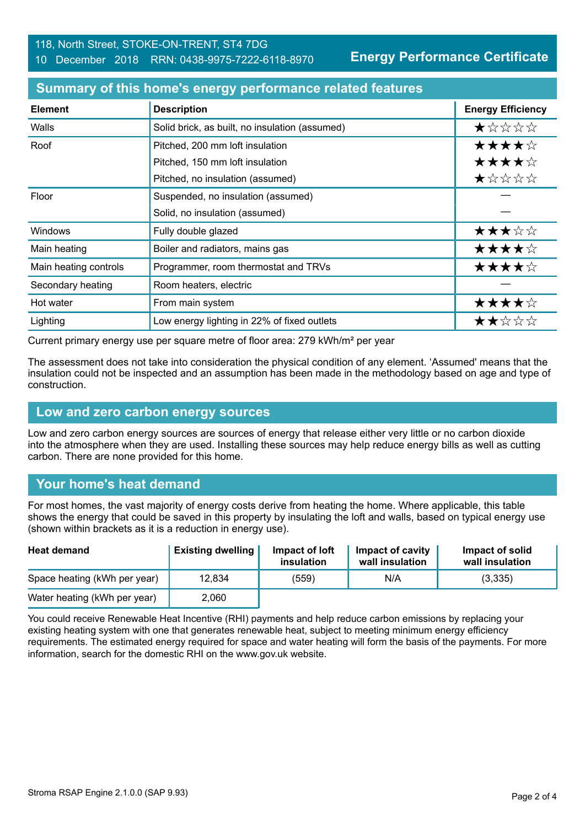#### 118, North Street, STOKE-ON-TRENT, ST4 7DG 10 December 2018 RRN: 0438-9975-7222-6118-8970

**Energy Performance Certificate**

| <b>Element</b>        | <b>Description</b>                             | <b>Energy Efficiency</b> |
|-----------------------|------------------------------------------------|--------------------------|
| Walls                 | Solid brick, as built, no insulation (assumed) | $\star$ * * * *          |
| Roof                  | Pitched, 200 mm loft insulation                | ★★★★☆                    |
|                       | Pitched, 150 mm loft insulation                | ★★★★☆                    |
|                       | Pitched, no insulation (assumed)               | ★☆☆☆☆                    |
| Floor                 | Suspended, no insulation (assumed)             |                          |
|                       | Solid, no insulation (assumed)                 |                          |
| Windows               | Fully double glazed                            | ★★★☆☆                    |
| Main heating          | Boiler and radiators, mains gas                | ★★★★☆                    |
| Main heating controls | Programmer, room thermostat and TRVs           | ★★★★☆                    |
| Secondary heating     | Room heaters, electric                         |                          |
| Hot water             | From main system                               | ★★★★☆                    |
| Lighting              | Low energy lighting in 22% of fixed outlets    | ★★☆☆☆                    |

#### **Summary of this home's energy performance related features**

Current primary energy use per square metre of floor area: 279 kWh/m² per year

The assessment does not take into consideration the physical condition of any element. 'Assumed' means that the insulation could not be inspected and an assumption has been made in the methodology based on age and type of construction.

#### **Low and zero carbon energy sources**

Low and zero carbon energy sources are sources of energy that release either very little or no carbon dioxide into the atmosphere when they are used. Installing these sources may help reduce energy bills as well as cutting carbon. There are none provided for this home.

# **Your home's heat demand**

For most homes, the vast majority of energy costs derive from heating the home. Where applicable, this table shows the energy that could be saved in this property by insulating the loft and walls, based on typical energy use (shown within brackets as it is a reduction in energy use).

| <b>Heat demand</b>           | <b>Existing dwelling</b> | Impact of loft<br>insulation | <b>Impact of cavity</b><br>wall insulation | Impact of solid<br>wall insulation |
|------------------------------|--------------------------|------------------------------|--------------------------------------------|------------------------------------|
| Space heating (kWh per year) | 12.834                   | (559)                        | N/A                                        | (3,335)                            |
| Water heating (kWh per year) | 2,060                    |                              |                                            |                                    |

You could receive Renewable Heat Incentive (RHI) payments and help reduce carbon emissions by replacing your existing heating system with one that generates renewable heat, subject to meeting minimum energy efficiency requirements. The estimated energy required for space and water heating will form the basis of the payments. For more information, search for the domestic RHI on the www.gov.uk website.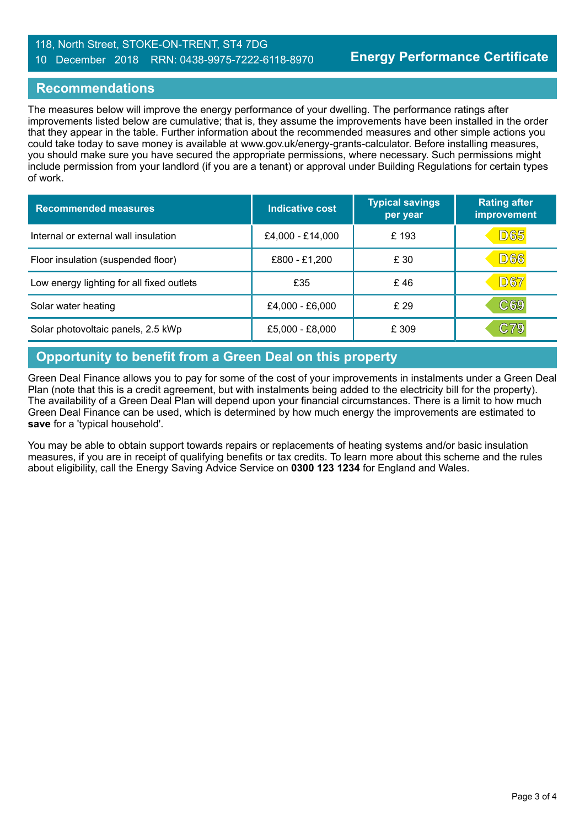#### 118, North Street, STOKE-ON-TRENT, ST4 7DG 10 December 2018 RRN: 0438-9975-7222-6118-8970

#### **Recommendations**

The measures below will improve the energy performance of your dwelling. The performance ratings after improvements listed below are cumulative; that is, they assume the improvements have been installed in the order that they appear in the table. Further information about the recommended measures and other simple actions you could take today to save money is available at www.gov.uk/energy-grants-calculator. Before installing measures, you should make sure you have secured the appropriate permissions, where necessary. Such permissions might include permission from your landlord (if you are a tenant) or approval under Building Regulations for certain types of work.

| <b>Recommended measures</b>               | Indicative cost   | <b>Typical savings</b><br>per year | <b>Rating after</b><br>improvement |
|-------------------------------------------|-------------------|------------------------------------|------------------------------------|
| Internal or external wall insulation      | £4,000 - £14,000  | £193                               | <b>D65</b>                         |
| Floor insulation (suspended floor)        | £800 - £1,200     | £ 30                               | <b>D66</b>                         |
| Low energy lighting for all fixed outlets | £35               | £46                                | <b>D67</b>                         |
| Solar water heating                       | $£4,000 - £6,000$ | £29                                | $\mathbb{C}69$                     |
| Solar photovoltaic panels, 2.5 kWp        | £5,000 - £8,000   | £ 309                              | $\mathbb{C}79$                     |

# **Opportunity to benefit from a Green Deal on this property**

Green Deal Finance allows you to pay for some of the cost of your improvements in instalments under a Green Deal Plan (note that this is a credit agreement, but with instalments being added to the electricity bill for the property). The availability of a Green Deal Plan will depend upon your financial circumstances. There is a limit to how much Green Deal Finance can be used, which is determined by how much energy the improvements are estimated to **save** for a 'typical household'.

You may be able to obtain support towards repairs or replacements of heating systems and/or basic insulation measures, if you are in receipt of qualifying benefits or tax credits. To learn more about this scheme and the rules about eligibility, call the Energy Saving Advice Service on **0300 123 1234** for England and Wales.